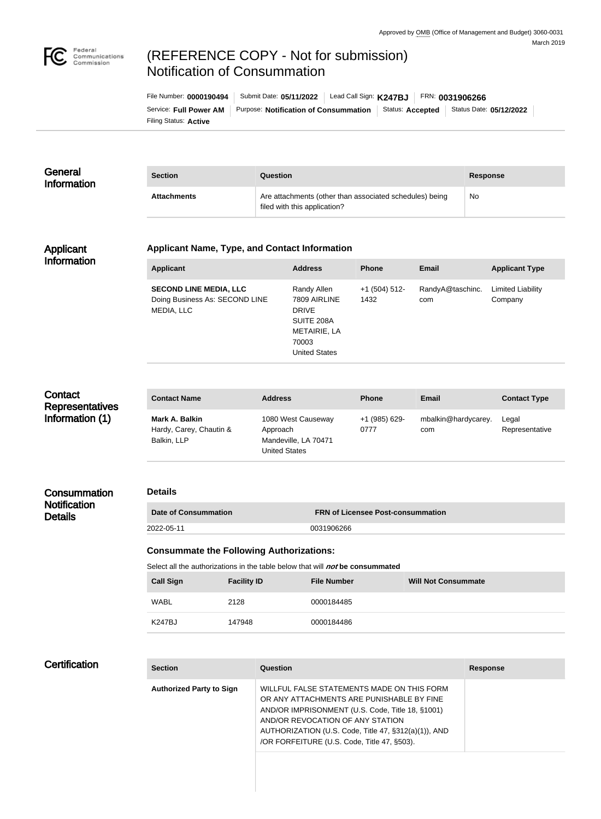

## (REFERENCE COPY - Not for submission) Notification of Consummation

Filing Status: **Active** Service: Full Power AM | Purpose: Notification of Consummation | Status: Accepted | Status Date: 05/12/2022 File Number: **0000190494** | Submit Date: **05/11/2022** | Lead Call Sign: **K247BJ** | FRN: **0031906266** 

| General<br><b>Information</b>                        | <b>Section</b>                                                                                                                   | Question                                         |                                                                                                                                                                                                                                                                                        |                                          |                            |                 | <b>Response</b>                     |  |
|------------------------------------------------------|----------------------------------------------------------------------------------------------------------------------------------|--------------------------------------------------|----------------------------------------------------------------------------------------------------------------------------------------------------------------------------------------------------------------------------------------------------------------------------------------|------------------------------------------|----------------------------|-----------------|-------------------------------------|--|
|                                                      | <b>Attachments</b>                                                                                                               |                                                  | Are attachments (other than associated schedules) being<br>filed with this application?                                                                                                                                                                                                |                                          |                            | <b>No</b>       |                                     |  |
| <b>Applicant</b>                                     | <b>Applicant Name, Type, and Contact Information</b>                                                                             |                                                  |                                                                                                                                                                                                                                                                                        |                                          |                            |                 |                                     |  |
| <b>Information</b>                                   | <b>Applicant</b>                                                                                                                 |                                                  | <b>Address</b>                                                                                                                                                                                                                                                                         | <b>Phone</b>                             | <b>Email</b>               |                 | <b>Applicant Type</b>               |  |
|                                                      | <b>SECOND LINE MEDIA, LLC</b><br>Doing Business As: SECOND LINE<br>MEDIA, LLC                                                    |                                                  | Randy Allen<br>7809 AIRLINE<br><b>DRIVE</b><br>SUITE 208A<br>METAIRIE, LA<br>70003<br><b>United States</b>                                                                                                                                                                             | $+1$ (504) 512-<br>1432                  | RandyA@taschinc.<br>com    |                 | <b>Limited Liability</b><br>Company |  |
| Contact<br><b>Representatives</b><br>Information (1) | <b>Contact Name</b>                                                                                                              | <b>Address</b>                                   |                                                                                                                                                                                                                                                                                        | <b>Phone</b>                             | <b>Email</b>               |                 | <b>Contact Type</b>                 |  |
|                                                      | Mark A. Balkin<br>Hardy, Carey, Chautin &<br>Balkin, LLP                                                                         | Approach                                         | 1080 West Causeway<br>Mandeville, LA 70471<br><b>United States</b>                                                                                                                                                                                                                     |                                          | mbalkin@hardycarey.<br>com |                 | Legal<br>Representative             |  |
| Consummation                                         | <b>Details</b>                                                                                                                   |                                                  |                                                                                                                                                                                                                                                                                        |                                          |                            |                 |                                     |  |
| <b>Notification</b><br><b>Details</b>                | <b>Date of Consummation</b>                                                                                                      |                                                  |                                                                                                                                                                                                                                                                                        | <b>FRN of Licensee Post-consummation</b> |                            |                 |                                     |  |
|                                                      | 2022-05-11                                                                                                                       | 0031906266                                       |                                                                                                                                                                                                                                                                                        |                                          |                            |                 |                                     |  |
|                                                      | <b>Consummate the Following Authorizations:</b><br>Select all the authorizations in the table below that will not be consummated |                                                  |                                                                                                                                                                                                                                                                                        |                                          |                            |                 |                                     |  |
|                                                      | <b>Call Sign</b><br><b>Facility ID</b>                                                                                           | <b>File Number</b><br><b>Will Not Consummate</b> |                                                                                                                                                                                                                                                                                        |                                          |                            |                 |                                     |  |
|                                                      | <b>WABL</b><br>2128                                                                                                              |                                                  | 0000184485                                                                                                                                                                                                                                                                             |                                          |                            |                 |                                     |  |
|                                                      | <b>K247BJ</b><br>147948                                                                                                          |                                                  | 0000184486                                                                                                                                                                                                                                                                             |                                          |                            |                 |                                     |  |
|                                                      |                                                                                                                                  |                                                  |                                                                                                                                                                                                                                                                                        |                                          |                            |                 |                                     |  |
| <b>Certification</b>                                 | <b>Section</b>                                                                                                                   | Question                                         |                                                                                                                                                                                                                                                                                        |                                          |                            | <b>Response</b> |                                     |  |
|                                                      | <b>Authorized Party to Sign</b>                                                                                                  |                                                  | WILLFUL FALSE STATEMENTS MADE ON THIS FORM<br>OR ANY ATTACHMENTS ARE PUNISHABLE BY FINE<br>AND/OR IMPRISONMENT (U.S. Code, Title 18, §1001)<br>AND/OR REVOCATION OF ANY STATION<br>AUTHORIZATION (U.S. Code, Title 47, §312(a)(1)), AND<br>/OR FORFEITURE (U.S. Code, Title 47, §503). |                                          |                            |                 |                                     |  |